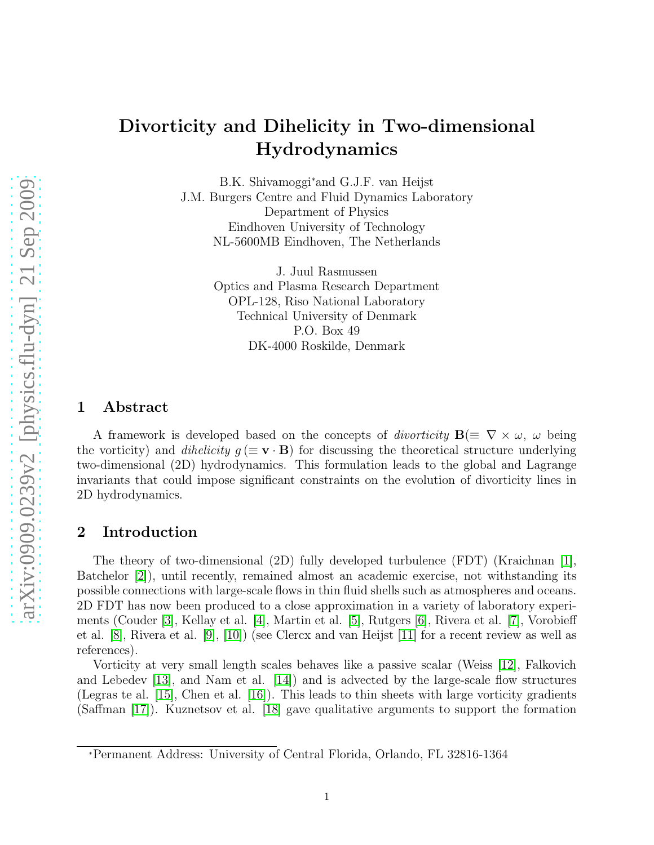# Divorticity and Dihelicity in Two-dimensional Hydrodynamics

B.K. Shivamoggi<sup>∗</sup>and G.J.F. van Heijst J.M. Burgers Centre and Fluid Dynamics Laboratory Department of Physics Eindhoven University of Technology NL-5600MB Eindhoven, The Netherlands

> J. Juul Rasmussen Optics and Plasma Research Department OPL-128, Riso National Laboratory Technical University of Denmark P.O. Box 49 DK-4000 Roskilde, Denmark

#### 1 Abstract

A framework is developed based on the concepts of *divorticity*  $\mathbf{B}(\equiv \nabla \times \omega, \omega$  being the vorticity) and *dihelicity*  $g (\equiv \mathbf{v} \cdot \mathbf{B})$  for discussing the theoretical structure underlying two-dimensional (2D) hydrodynamics. This formulation leads to the global and Lagrange invariants that could impose significant constraints on the evolution of divorticity lines in 2D hydrodynamics.

#### 2 Introduction

The theory of two-dimensional (2D) fully developed turbulence (FDT) (Kraichnan [\[1\]](#page-5-0), Batchelor [\[2\]](#page-5-1)), until recently, remained almost an academic exercise, not withstanding its possible connections with large-scale flows in thin fluid shells such as atmospheres and oceans. 2D FDT has now been produced to a close approximation in a variety of laboratory experiments (Couder [\[3\]](#page-5-2), Kellay et al. [\[4\]](#page-5-3), Martin et al. [\[5\]](#page-5-4), Rutgers [\[6\]](#page-5-5), Rivera et al. [\[7\]](#page-5-6), Vorobieff et al. [\[8\]](#page-5-7), Rivera et al. [\[9\]](#page-5-8), [\[10\]](#page-5-9)) (see Clercx and van Heijst [\[11\]](#page-5-10) for a recent review as well as references).

Vorticity at very small length scales behaves like a passive scalar (Weiss [\[12\]](#page-5-11), Falkovich and Lebedev [\[13\]](#page-5-12), and Nam et al. [\[14\]](#page-5-13)) and is advected by the large-scale flow structures (Legras te al. [\[15\]](#page-5-14), Chen et al. [\[16\]](#page-5-15)). This leads to thin sheets with large vorticity gradients (Saffman [\[17\]](#page-6-0)). Kuznetsov et al. [\[18\]](#page-6-1) gave qualitative arguments to support the formation

<sup>∗</sup>Permanent Address: University of Central Florida, Orlando, FL 32816-1364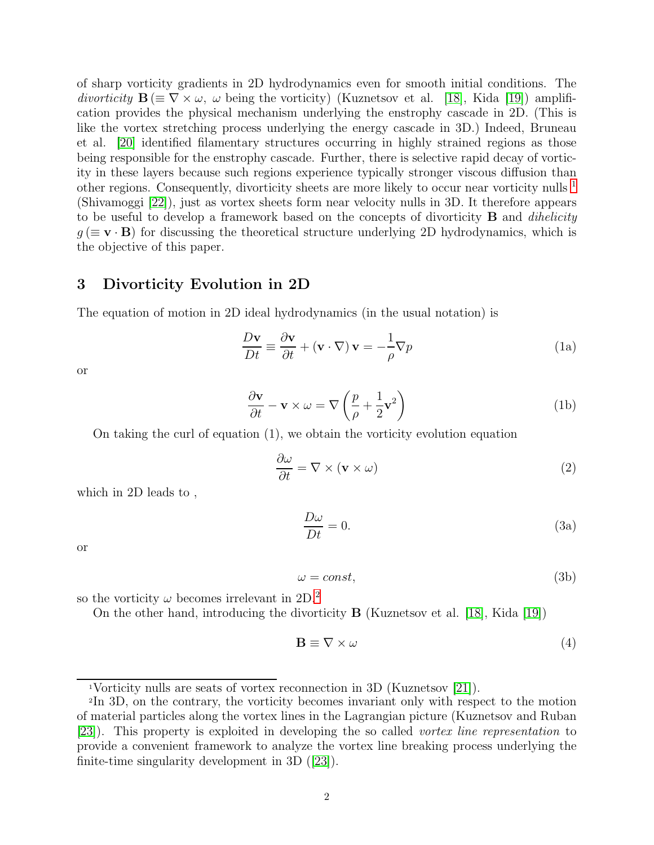of sharp vorticity gradients in 2D hydrodynamics even for smooth initial conditions. The divorticity  $\mathbf{B} \equiv \nabla \times \omega$ ,  $\omega$  being the vorticity) (Kuznetsov et al. [\[18\]](#page-6-1), Kida [\[19\]](#page-6-2)) amplification provides the physical mechanism underlying the enstrophy cascade in 2D. (This is like the vortex stretching process underlying the energy cascade in 3D.) Indeed, Bruneau et al. [\[20\]](#page-6-3) identified filamentary structures occurring in highly strained regions as those being responsible for the enstrophy cascade. Further, there is selective rapid decay of vorticity in these layers because such regions experience typically stronger viscous diffusion than other regions. Consequently, divorticity sheets are more likely to occur near vorticity nulls  $<sup>1</sup>$  $<sup>1</sup>$  $<sup>1</sup>$ </sup> (Shivamoggi [\[22\]](#page-6-4)), just as vortex sheets form near velocity nulls in 3D. It therefore appears to be useful to develop a framework based on the concepts of divorticity  $\bf{B}$  and *dihelicity*  $g \, (\equiv \mathbf{v} \cdot \mathbf{B})$  for discussing the theoretical structure underlying 2D hydrodynamics, which is the objective of this paper.

#### 3 Divorticity Evolution in 2D

The equation of motion in 2D ideal hydrodynamics (in the usual notation) is

$$
\frac{D\mathbf{v}}{Dt} \equiv \frac{\partial \mathbf{v}}{\partial t} + (\mathbf{v} \cdot \nabla) \mathbf{v} = -\frac{1}{\rho} \nabla p \tag{1a}
$$

or

$$
\frac{\partial \mathbf{v}}{\partial t} - \mathbf{v} \times \omega = \nabla \left( \frac{p}{\rho} + \frac{1}{2} \mathbf{v}^2 \right)
$$
 (1b)

On taking the curl of equation (1), we obtain the vorticity evolution equation

$$
\frac{\partial \omega}{\partial t} = \nabla \times (\mathbf{v} \times \omega) \tag{2}
$$

which in 2D leads to ,

$$
\frac{D\omega}{Dt} = 0.\tag{3a}
$$

or

$$
\omega = const,\tag{3b}
$$

so the vorticity  $\omega$  becomes irrelevant in [2](#page-1-1)D.<sup>2</sup>

On the other hand, introducing the divorticity B (Kuznetsov et al. [\[18\]](#page-6-1), Kida [\[19\]](#page-6-2))

$$
\mathbf{B} \equiv \nabla \times \omega \tag{4}
$$

<span id="page-1-0"></span><sup>1</sup>Vorticity nulls are seats of vortex reconnection in 3D (Kuznetsov [\[21\]](#page-6-5)).

<span id="page-1-1"></span><sup>2</sup>In 3D, on the contrary, the vorticity becomes invariant only with respect to the motion of material particles along the vortex lines in the Lagrangian picture (Kuznetsov and Ruban [\[23\]](#page-6-6)). This property is exploited in developing the so called vortex line representation to provide a convenient framework to analyze the vortex line breaking process underlying the finite-time singularity development in 3D ([\[23\]](#page-6-6)).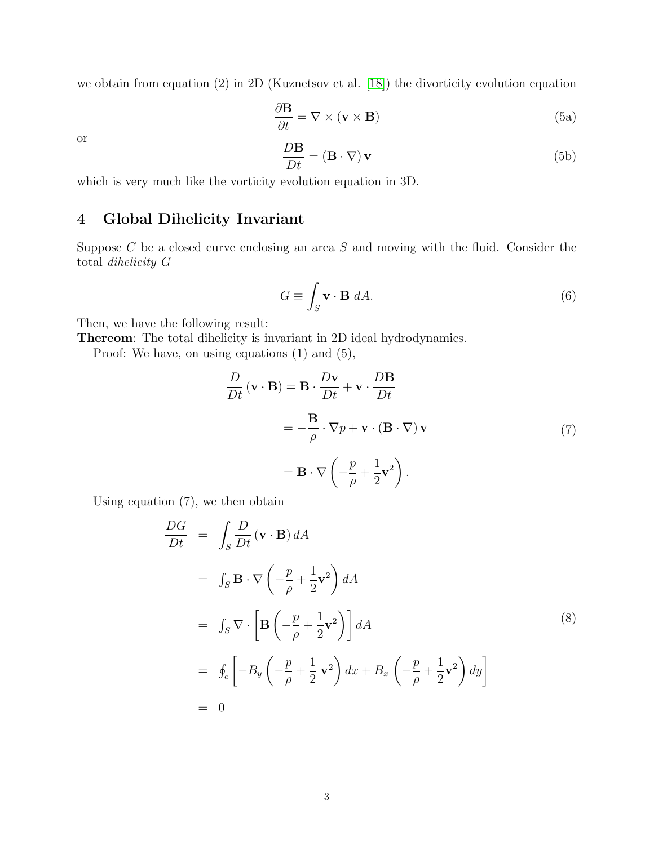we obtain from equation (2) in 2D (Kuznetsov et al. [\[18\]](#page-6-1)) the divorticity evolution equation

$$
\frac{\partial \mathbf{B}}{\partial t} = \nabla \times (\mathbf{v} \times \mathbf{B}) \tag{5a}
$$

or

$$
\frac{D\mathbf{B}}{Dt} = (\mathbf{B} \cdot \nabla) \mathbf{v}
$$
 (5b)

which is very much like the vorticity evolution equation in 3D.

## 4 Global Dihelicity Invariant

Suppose  $C$  be a closed curve enclosing an area  $S$  and moving with the fluid. Consider the total dihelicity G

$$
G \equiv \int_{S} \mathbf{v} \cdot \mathbf{B} \, dA. \tag{6}
$$

Then, we have the following result:

Thereom: The total dihelicity is invariant in 2D ideal hydrodynamics.

Proof: We have, on using equations (1) and (5),

$$
\frac{D}{Dt}(\mathbf{v} \cdot \mathbf{B}) = \mathbf{B} \cdot \frac{D\mathbf{v}}{Dt} + \mathbf{v} \cdot \frac{D\mathbf{B}}{Dt}
$$

$$
= -\frac{\mathbf{B}}{\rho} \cdot \nabla p + \mathbf{v} \cdot (\mathbf{B} \cdot \nabla) \mathbf{v}
$$
(7)
$$
= \mathbf{B} \cdot \nabla \left( -\frac{p}{\rho} + \frac{1}{2} \mathbf{v}^2 \right).
$$

Using equation (7), we then obtain

$$
\frac{DG}{Dt} = \int_{S} \frac{D}{Dt} (\mathbf{v} \cdot \mathbf{B}) dA
$$
  
\n
$$
= \int_{S} \mathbf{B} \cdot \nabla \left( -\frac{p}{\rho} + \frac{1}{2} \mathbf{v}^{2} \right) dA
$$
  
\n
$$
= \int_{S} \nabla \cdot \left[ \mathbf{B} \left( -\frac{p}{\rho} + \frac{1}{2} \mathbf{v}^{2} \right) \right] dA
$$
  
\n
$$
= \oint_{c} \left[ -B_{y} \left( -\frac{p}{\rho} + \frac{1}{2} \mathbf{v}^{2} \right) dx + B_{x} \left( -\frac{p}{\rho} + \frac{1}{2} \mathbf{v}^{2} \right) dy \right]
$$
  
\n
$$
= 0
$$
\n(8)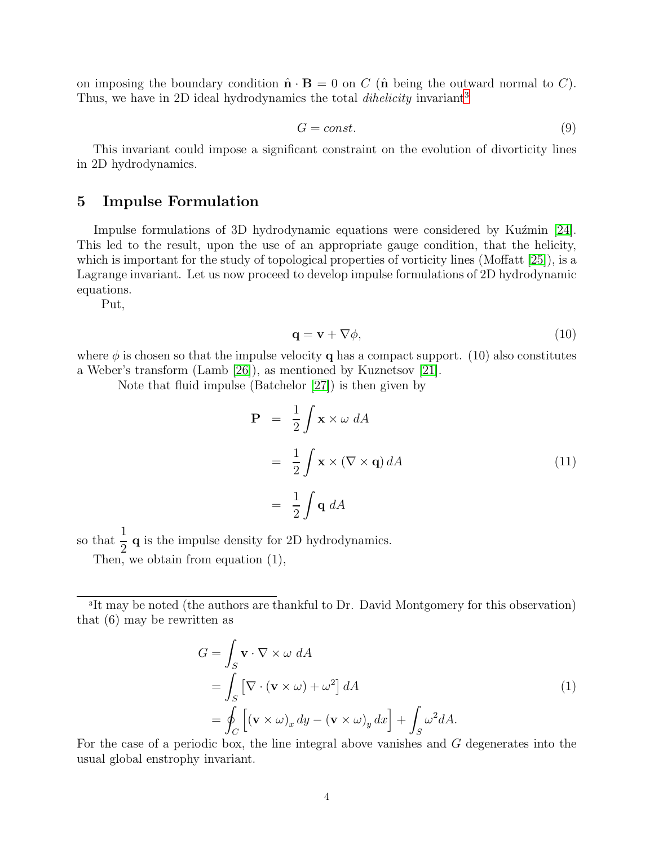on imposing the boundary condition  $\hat{\mathbf{n}} \cdot \mathbf{B} = 0$  on C ( $\hat{\mathbf{n}}$  being the outward normal to C). Thus, we have in 2D ideal hydrodynamics the total  $\mathit{dihelicity}$  invariant<sup>[3](#page-3-0)</sup>

$$
G = const.
$$
\n<sup>(9)</sup>

This invariant could impose a significant constraint on the evolution of divorticity lines in 2D hydrodynamics.

#### 5 Impulse Formulation

Impulse formulations of 3D hydrodynamic equations were considered by Kuzmin [\[24\]](#page-6-7). This led to the result, upon the use of an appropriate gauge condition, that the helicity, which is important for the study of topological properties of vorticity lines (Moffatt [\[25\]](#page-6-8)), is a Lagrange invariant. Let us now proceed to develop impulse formulations of 2D hydrodynamic equations.

Put,

$$
\mathbf{q} = \mathbf{v} + \nabla \phi,\tag{10}
$$

where  $\phi$  is chosen so that the impulse velocity q has a compact support. (10) also constitutes a Weber's transform (Lamb [\[26\]](#page-6-9)), as mentioned by Kuznetsov [\[21\]](#page-6-5).

Note that fluid impulse (Batchelor [\[27\]](#page-6-10)) is then given by

$$
\mathbf{P} = \frac{1}{2} \int \mathbf{x} \times \omega \, dA
$$
  
= 
$$
\frac{1}{2} \int \mathbf{x} \times (\nabla \times \mathbf{q}) \, dA
$$
  
= 
$$
\frac{1}{2} \int \mathbf{q} \, dA
$$
 (11)

so that  $\frac{1}{2}$ q is the impulse density for 2D hydrodynamics.

2 Then, we obtain from equation (1),

<span id="page-3-0"></span><sup>3</sup>It may be noted (the authors are thankful to Dr. David Montgomery for this observation) that (6) may be rewritten as

$$
G = \int_{S} \mathbf{v} \cdot \nabla \times \omega \, dA
$$
  
= 
$$
\int_{S} \left[ \nabla \cdot (\mathbf{v} \times \omega) + \omega^{2} \right] dA
$$
  
= 
$$
\oint_{C} \left[ (\mathbf{v} \times \omega)_{x} dy - (\mathbf{v} \times \omega)_{y} dx \right] + \int_{S} \omega^{2} dA.
$$
 (1)

For the case of a periodic box, the line integral above vanishes and G degenerates into the usual global enstrophy invariant.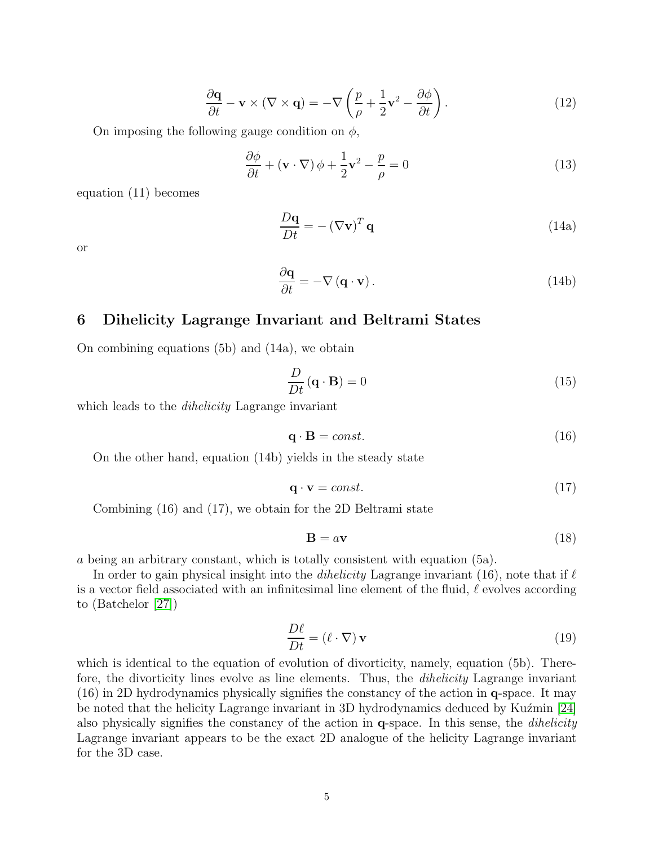$$
\frac{\partial \mathbf{q}}{\partial t} - \mathbf{v} \times (\nabla \times \mathbf{q}) = -\nabla \left( \frac{p}{\rho} + \frac{1}{2} \mathbf{v}^2 - \frac{\partial \phi}{\partial t} \right). \tag{12}
$$

On imposing the following gauge condition on  $\phi$ ,

$$
\frac{\partial \phi}{\partial t} + (\mathbf{v} \cdot \nabla) \phi + \frac{1}{2} \mathbf{v}^2 - \frac{p}{\rho} = 0 \tag{13}
$$

equation (11) becomes

$$
\frac{D\mathbf{q}}{Dt} = -(\nabla \mathbf{v})^T \mathbf{q}
$$
 (14a)

or

$$
\frac{\partial \mathbf{q}}{\partial t} = -\nabla \left( \mathbf{q} \cdot \mathbf{v} \right). \tag{14b}
$$

#### 6 Dihelicity Lagrange Invariant and Beltrami States

On combining equations (5b) and (14a), we obtain

$$
\frac{D}{Dt}(\mathbf{q} \cdot \mathbf{B}) = 0 \tag{15}
$$

which leads to the *dihelicity* Lagrange invariant

$$
\mathbf{q} \cdot \mathbf{B} = const. \tag{16}
$$

On the other hand, equation (14b) yields in the steady state

$$
\mathbf{q} \cdot \mathbf{v} = const.
$$
 (17)

Combining (16) and (17), we obtain for the 2D Beltrami state

$$
\mathbf{B} = a\mathbf{v} \tag{18}
$$

a being an arbitrary constant, which is totally consistent with equation (5a).

In order to gain physical insight into the *dihelicity* Lagrange invariant  $(16)$ , note that if  $\ell$ is a vector field associated with an infinitesimal line element of the fluid,  $\ell$  evolves according to (Batchelor [\[27\]](#page-6-10))

$$
\frac{D\ell}{Dt} = (\ell \cdot \nabla) \mathbf{v}
$$
 (19)

which is identical to the equation of evolution of divorticity, namely, equation (5b). Therefore, the divorticity lines evolve as line elements. Thus, the *dihelicity* Lagrange invariant (16) in 2D hydrodynamics physically signifies the constancy of the action in q-space. It may be noted that the helicity Lagrange invariant in 3D hydrodynamics deduced by Kuźmin [\[24\]](#page-6-7) also physically signifies the constancy of the action in  $q$ -space. In this sense, the *dihelicity* Lagrange invariant appears to be the exact 2D analogue of the helicity Lagrange invariant for the 3D case.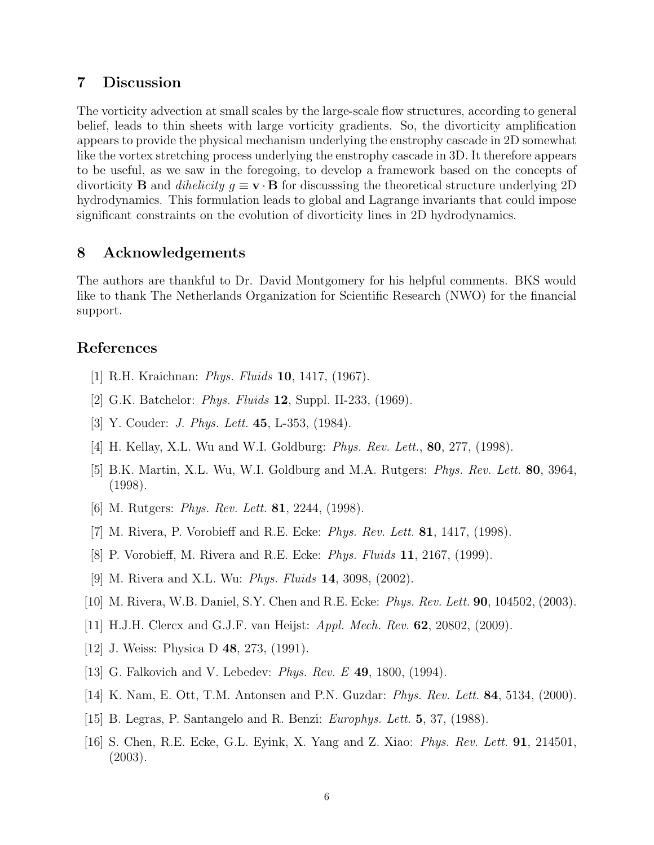#### 7 Discussion

The vorticity advection at small scales by the large-scale flow structures, according to general belief, leads to thin sheets with large vorticity gradients. So, the divorticity amplification appears to provide the physical mechanism underlying the enstrophy cascade in 2D somewhat like the vortex stretching process underlying the enstrophy cascade in 3D. It therefore appears to be useful, as we saw in the foregoing, to develop a framework based on the concepts of divorticity **B** and *dihelicity*  $g \equiv \mathbf{v} \cdot \mathbf{B}$  for discussing the theoretical structure underlying 2D hydrodynamics. This formulation leads to global and Lagrange invariants that could impose significant constraints on the evolution of divorticity lines in 2D hydrodynamics.

#### 8 Acknowledgements

The authors are thankful to Dr. David Montgomery for his helpful comments. BKS would like to thank The Netherlands Organization for Scientific Research (NWO) for the financial support.

### <span id="page-5-0"></span>References

- <span id="page-5-1"></span>[1] R.H. Kraichnan: Phys. Fluids 10, 1417, (1967).
- <span id="page-5-2"></span>[2] G.K. Batchelor: Phys. Fluids 12, Suppl. II-233, (1969).
- <span id="page-5-3"></span>[3] Y. Couder: J. Phys. Lett. 45, L-353, (1984).
- <span id="page-5-4"></span>[4] H. Kellay, X.L. Wu and W.I. Goldburg: *Phys. Rev. Lett.*, **80**, 277, (1998).
- [5] B.K. Martin, X.L. Wu, W.I. Goldburg and M.A. Rutgers: Phys. Rev. Lett. 80, 3964, (1998).
- <span id="page-5-6"></span><span id="page-5-5"></span>[6] M. Rutgers: *Phys. Rev. Lett.* **81**, 2244, (1998).
- <span id="page-5-7"></span> $[7]$  M. Rivera, P. Vorobieff and R.E. Ecke: *Phys. Rev. Lett.* **81**, 1417, (1998).
- <span id="page-5-8"></span>[8] P. Vorobieff, M. Rivera and R.E. Ecke: Phys. Fluids 11, 2167, (1999).
- <span id="page-5-9"></span>[9] M. Rivera and X.L. Wu: Phys. Fluids 14, 3098, (2002).
- <span id="page-5-10"></span>[10] M. Rivera, W.B. Daniel, S.Y. Chen and R.E. Ecke: Phys. Rev. Lett. 90, 104502, (2003).
- <span id="page-5-11"></span>[11] H.J.H. Clercx and G.J.F. van Heijst: Appl. Mech. Rev. 62, 20802, (2009).
- <span id="page-5-12"></span>[12] J. Weiss: Physica D 48, 273, (1991).
- <span id="page-5-13"></span>[13] G. Falkovich and V. Lebedev: Phys. Rev. E 49, 1800, (1994).
- <span id="page-5-14"></span>[14] K. Nam, E. Ott, T.M. Antonsen and P.N. Guzdar: Phys. Rev. Lett. 84, 5134, (2000).
- <span id="page-5-15"></span>[15] B. Legras, P. Santangelo and R. Benzi: Europhys. Lett. 5, 37, (1988).
- [16] S. Chen, R.E. Ecke, G.L. Eyink, X. Yang and Z. Xiao: Phys. Rev. Lett. 91, 214501, (2003).